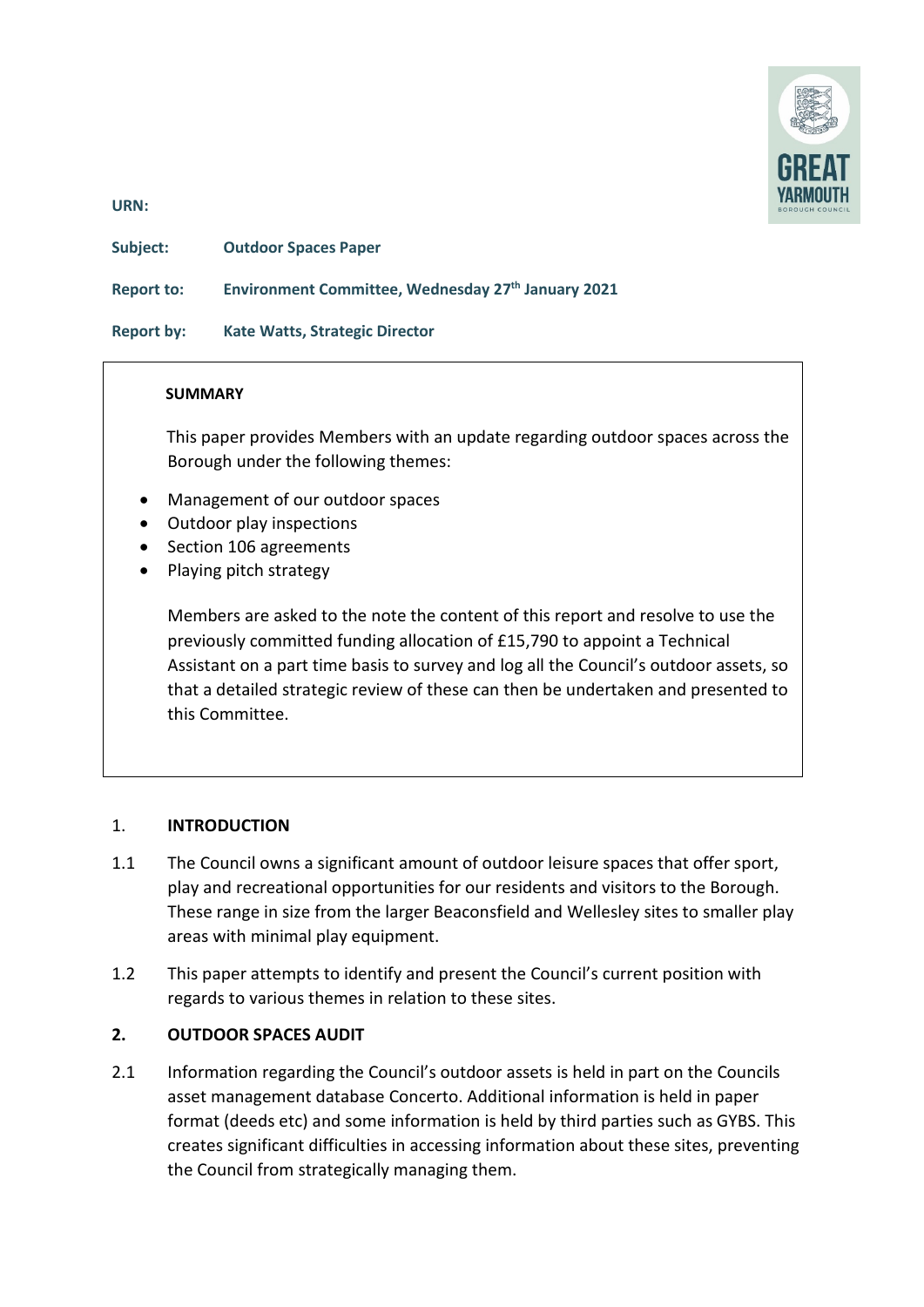

**URN:** 

**Subject: Outdoor Spaces Paper** 

**Report to: Environment Committee, Wednesday 27th January 2021**

**Report by: Kate Watts, Strategic Director** 

#### **SUMMARY**

 This paper provides Members with an update regarding outdoor spaces across the Borough under the following themes:

- Management of our outdoor spaces
- Outdoor play inspections
- Section 106 agreements
- Playing pitch strategy

Members are asked to the note the content of this report and resolve to use the previously committed funding allocation of £15,790 to appoint a Technical Assistant on a part time basis to survey and log all the Council's outdoor assets, so that a detailed strategic review of these can then be undertaken and presented to this Committee.

### 1. **INTRODUCTION**

- 1.1 The Council owns a significant amount of outdoor leisure spaces that offer sport, play and recreational opportunities for our residents and visitors to the Borough. These range in size from the larger Beaconsfield and Wellesley sites to smaller play areas with minimal play equipment.
- 1.2 This paper attempts to identify and present the Council's current position with regards to various themes in relation to these sites.

### **2. OUTDOOR SPACES AUDIT**

2.1 Information regarding the Council's outdoor assets is held in part on the Councils asset management database Concerto. Additional information is held in paper format (deeds etc) and some information is held by third parties such as GYBS. This creates significant difficulties in accessing information about these sites, preventing the Council from strategically managing them.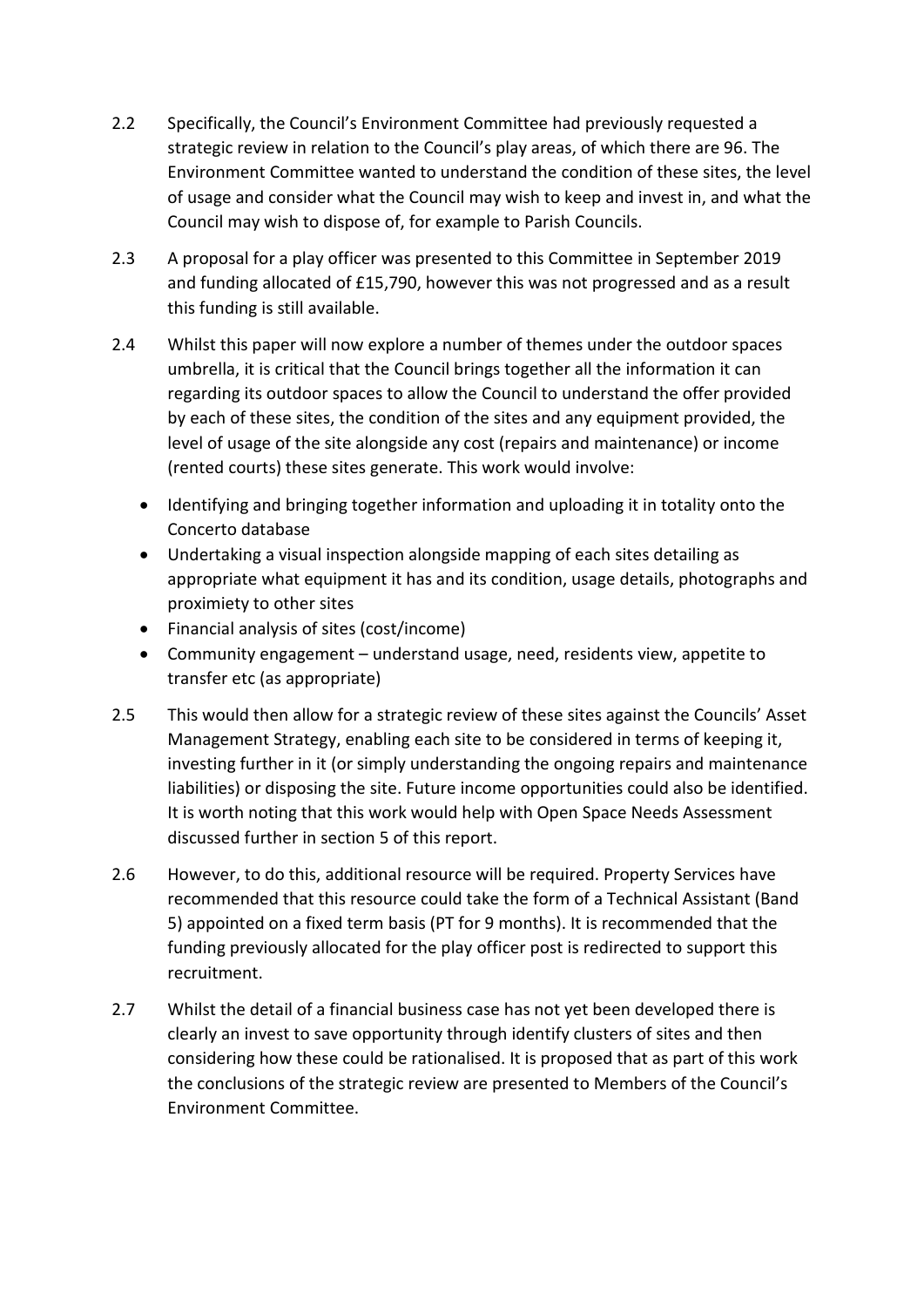- 2.2 Specifically, the Council's Environment Committee had previously requested a strategic review in relation to the Council's play areas, of which there are 96. The Environment Committee wanted to understand the condition of these sites, the level of usage and consider what the Council may wish to keep and invest in, and what the Council may wish to dispose of, for example to Parish Councils.
- 2.3 A proposal for a play officer was presented to this Committee in September 2019 and funding allocated of £15,790, however this was not progressed and as a result this funding is still available.
- 2.4 Whilst this paper will now explore a number of themes under the outdoor spaces umbrella, it is critical that the Council brings together all the information it can regarding its outdoor spaces to allow the Council to understand the offer provided by each of these sites, the condition of the sites and any equipment provided, the level of usage of the site alongside any cost (repairs and maintenance) or income (rented courts) these sites generate. This work would involve:
	- Identifying and bringing together information and uploading it in totality onto the Concerto database
	- Undertaking a visual inspection alongside mapping of each sites detailing as appropriate what equipment it has and its condition, usage details, photographs and proximiety to other sites
	- Financial analysis of sites (cost/income)
	- Community engagement understand usage, need, residents view, appetite to transfer etc (as appropriate)
- 2.5 This would then allow for a strategic review of these sites against the Councils' Asset Management Strategy, enabling each site to be considered in terms of keeping it, investing further in it (or simply understanding the ongoing repairs and maintenance liabilities) or disposing the site. Future income opportunities could also be identified. It is worth noting that this work would help with Open Space Needs Assessment discussed further in section 5 of this report.
- 2.6 However, to do this, additional resource will be required. Property Services have recommended that this resource could take the form of a Technical Assistant (Band 5) appointed on a fixed term basis (PT for 9 months). It is recommended that the funding previously allocated for the play officer post is redirected to support this recruitment.
- 2.7 Whilst the detail of a financial business case has not yet been developed there is clearly an invest to save opportunity through identify clusters of sites and then considering how these could be rationalised. It is proposed that as part of this work the conclusions of the strategic review are presented to Members of the Council's Environment Committee.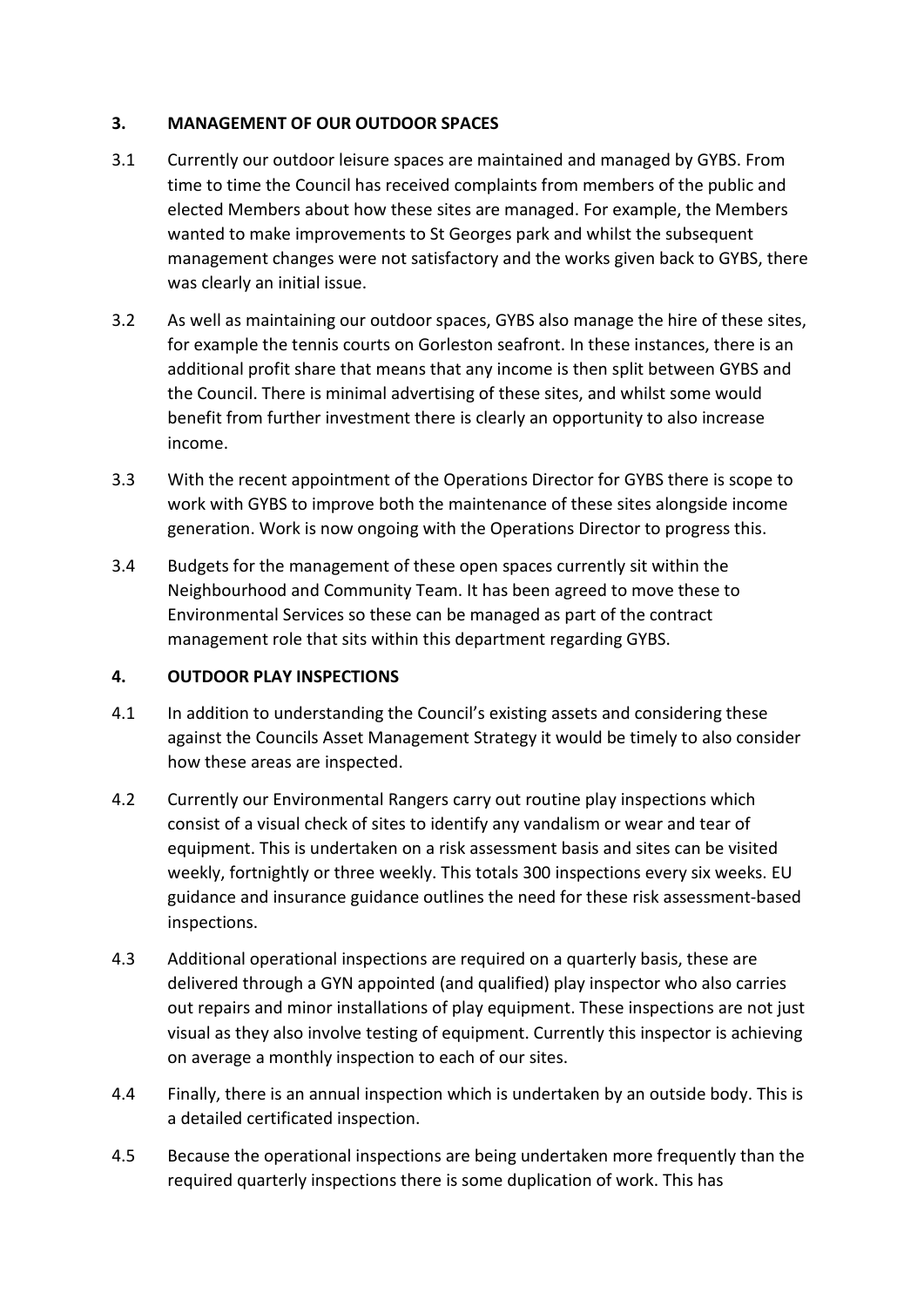### **3. MANAGEMENT OF OUR OUTDOOR SPACES**

- 3.1 Currently our outdoor leisure spaces are maintained and managed by GYBS. From time to time the Council has received complaints from members of the public and elected Members about how these sites are managed. For example, the Members wanted to make improvements to St Georges park and whilst the subsequent management changes were not satisfactory and the works given back to GYBS, there was clearly an initial issue.
- 3.2 As well as maintaining our outdoor spaces, GYBS also manage the hire of these sites, for example the tennis courts on Gorleston seafront. In these instances, there is an additional profit share that means that any income is then split between GYBS and the Council. There is minimal advertising of these sites, and whilst some would benefit from further investment there is clearly an opportunity to also increase income.
- 3.3 With the recent appointment of the Operations Director for GYBS there is scope to work with GYBS to improve both the maintenance of these sites alongside income generation. Work is now ongoing with the Operations Director to progress this.
- 3.4 Budgets for the management of these open spaces currently sit within the Neighbourhood and Community Team. It has been agreed to move these to Environmental Services so these can be managed as part of the contract management role that sits within this department regarding GYBS.

# **4. OUTDOOR PLAY INSPECTIONS**

- 4.1 In addition to understanding the Council's existing assets and considering these against the Councils Asset Management Strategy it would be timely to also consider how these areas are inspected.
- 4.2 Currently our Environmental Rangers carry out routine play inspections which consist of a visual check of sites to identify any vandalism or wear and tear of equipment. This is undertaken on a risk assessment basis and sites can be visited weekly, fortnightly or three weekly. This totals 300 inspections every six weeks. EU guidance and insurance guidance outlines the need for these risk assessment-based inspections.
- 4.3 Additional operational inspections are required on a quarterly basis, these are delivered through a GYN appointed (and qualified) play inspector who also carries out repairs and minor installations of play equipment. These inspections are not just visual as they also involve testing of equipment. Currently this inspector is achieving on average a monthly inspection to each of our sites.
- 4.4 Finally, there is an annual inspection which is undertaken by an outside body. This is a detailed certificated inspection.
- 4.5 Because the operational inspections are being undertaken more frequently than the required quarterly inspections there is some duplication of work. This has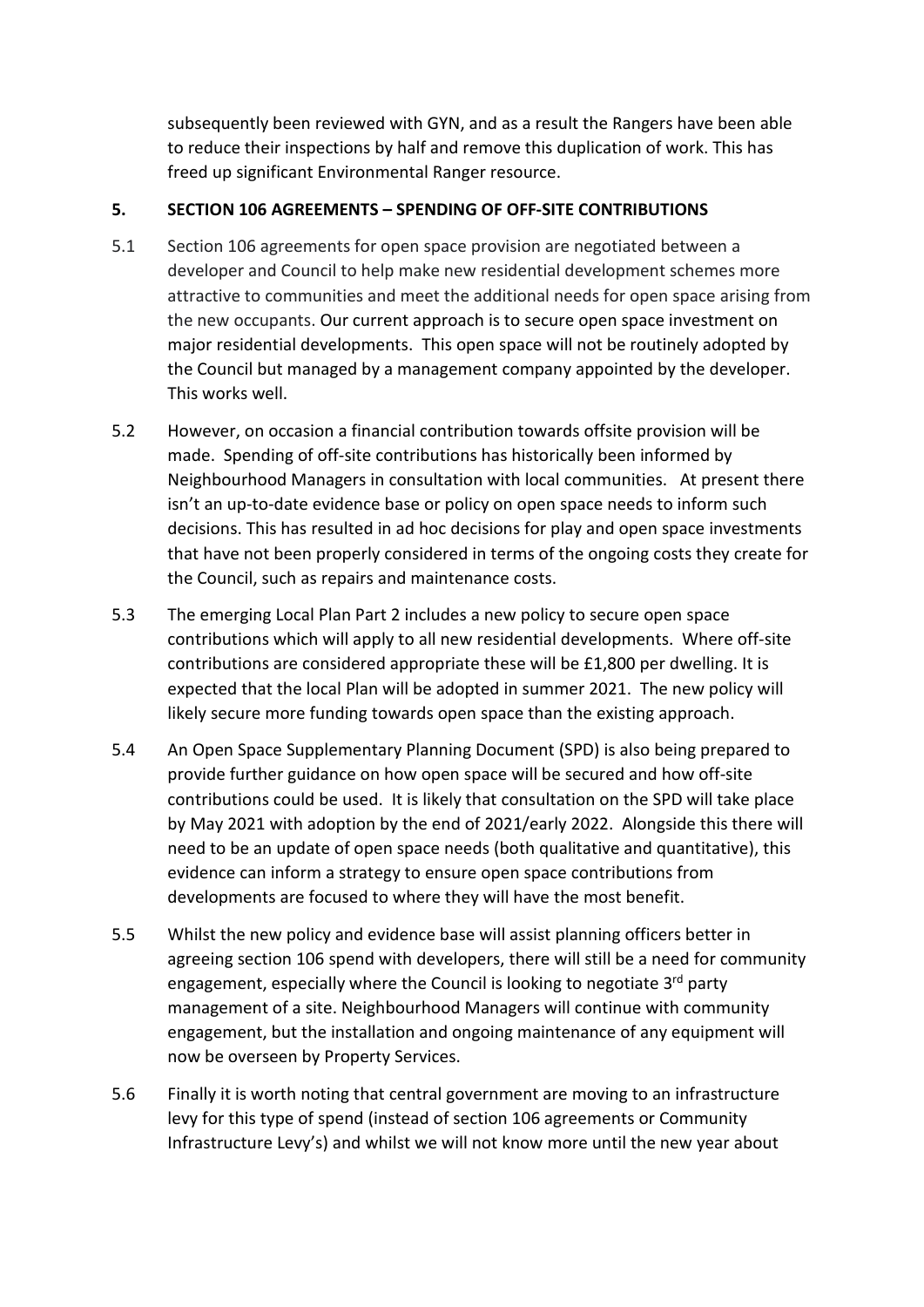subsequently been reviewed with GYN, and as a result the Rangers have been able to reduce their inspections by half and remove this duplication of work. This has freed up significant Environmental Ranger resource.

### **5. SECTION 106 AGREEMENTS – SPENDING OF OFF-SITE CONTRIBUTIONS**

- 5.1 Section 106 agreements for open space provision are negotiated between a developer and Council to help make new residential development schemes more attractive to communities and meet the additional needs for open space arising from the new occupants. Our current approach is to secure open space investment on major residential developments. This open space will not be routinely adopted by the Council but managed by a management company appointed by the developer. This works well.
- 5.2 However, on occasion a financial contribution towards offsite provision will be made. Spending of off-site contributions has historically been informed by Neighbourhood Managers in consultation with local communities. At present there isn't an up-to-date evidence base or policy on open space needs to inform such decisions. This has resulted in ad hoc decisions for play and open space investments that have not been properly considered in terms of the ongoing costs they create for the Council, such as repairs and maintenance costs.
- 5.3 The emerging Local Plan Part 2 includes a new policy to secure open space contributions which will apply to all new residential developments. Where off-site contributions are considered appropriate these will be £1,800 per dwelling. It is expected that the local Plan will be adopted in summer 2021. The new policy will likely secure more funding towards open space than the existing approach.
- 5.4 An Open Space Supplementary Planning Document (SPD) is also being prepared to provide further guidance on how open space will be secured and how off-site contributions could be used. It is likely that consultation on the SPD will take place by May 2021 with adoption by the end of 2021/early 2022. Alongside this there will need to be an update of open space needs (both qualitative and quantitative), this evidence can inform a strategy to ensure open space contributions from developments are focused to where they will have the most benefit.
- 5.5 Whilst the new policy and evidence base will assist planning officers better in agreeing section 106 spend with developers, there will still be a need for community engagement, especially where the Council is looking to negotiate 3<sup>rd</sup> party management of a site. Neighbourhood Managers will continue with community engagement, but the installation and ongoing maintenance of any equipment will now be overseen by Property Services.
- 5.6 Finally it is worth noting that central government are moving to an infrastructure levy for this type of spend (instead of section 106 agreements or Community Infrastructure Levy's) and whilst we will not know more until the new year about